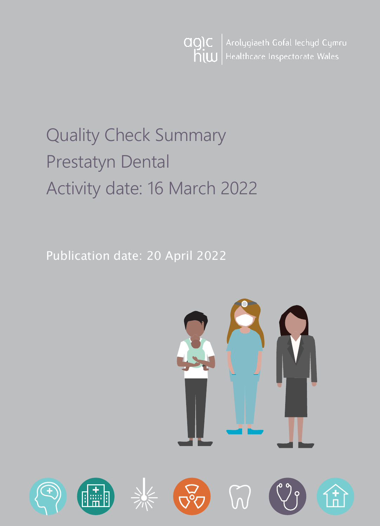agic<br>hiw Arolygiaeth Gofal Iechyd Cymru Healthcare Inspectorate Wales

# Quality Check Summary Prestatyn Dental Activity date: 16 March 2022

Publication date: 20 April 2022

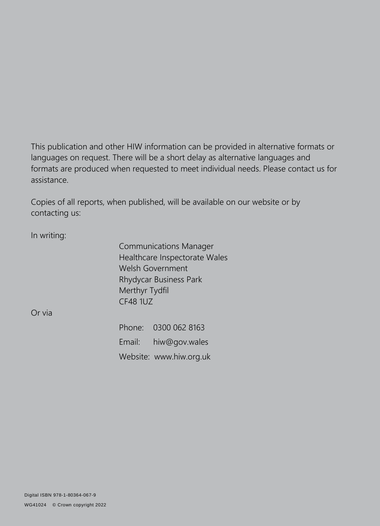This publication and other HIW information can be provided in alternative formats or languages on request. There will be a short delay as alternative languages and formats are produced when requested to meet individual needs. Please contact us for assistance.

Copies of all reports, when published, will be available on our website or by contacting us:

In writing:

Communications Manager Healthcare Inspectorate Wales Welsh Government Rhydycar Business Park Merthyr Tydfil CF48 1UZ

Or via

Phone: 0300 062 8163 Email: [hiw@gov.wales](mailto:hiw@gov.wales) Website: [www.hiw.org.uk](http://www.hiw.org.uk/)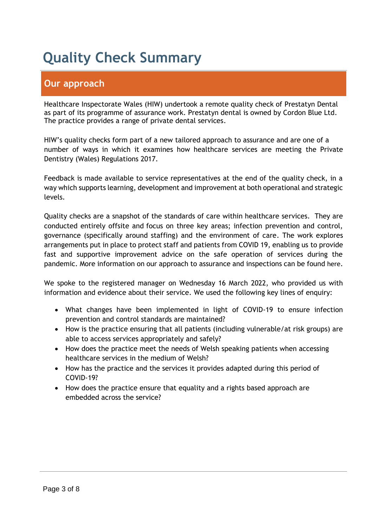# **Quality Check Summary**

# **Our approach**

Healthcare Inspectorate Wales (HIW) undertook a remote quality check of Prestatyn Dental as part of its programme of assurance work. Prestatyn dental is owned by Cordon Blue Ltd. The practice provides a range of private dental services.

HIW's quality checks form part of a new tailored approach to assurance and are one of a number of ways in which it examines how healthcare services are meeting the Private Dentistry (Wales) Regulations 2017.

Feedback is made available to service representatives at the end of the quality check, in a way which supports learning, development and improvement at both operational and strategic levels.

Quality checks are a snapshot of the standards of care within healthcare services. They are conducted entirely offsite and focus on three key areas; infection prevention and control, governance (specifically around staffing) and the environment of care. The work explores arrangements put in place to protect staff and patients from COVID 19, enabling us to provide fast and supportive improvement advice on the safe operation of services during the pandemic. More information on our approach to assurance and inspections can be found [here](https://hiw.org.uk/covid-19-response-and-our-approach-assurance-and-inspection).

We spoke to the registered manager on Wednesday 16 March 2022, who provided us with information and evidence about their service. We used the following key lines of enquiry:

- What changes have been implemented in light of COVID-19 to ensure infection prevention and control standards are maintained?
- How is the practice ensuring that all patients (including vulnerable/at risk groups) are able to access services appropriately and safely?
- How does the practice meet the needs of Welsh speaking patients when accessing healthcare services in the medium of Welsh?
- How has the practice and the services it provides adapted during this period of COVID-19?
- How does the practice ensure that equality and a rights based approach are embedded across the service?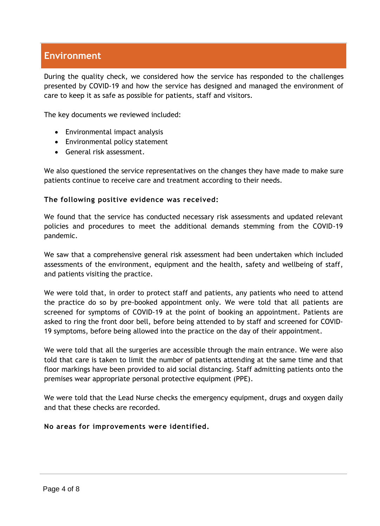## **Environment**

During the quality check, we considered how the service has responded to the challenges presented by COVID-19 and how the service has designed and managed the environment of care to keep it as safe as possible for patients, staff and visitors.

The key documents we reviewed included:

- Environmental impact analysis
- Environmental policy statement
- General risk assessment.

We also questioned the service representatives on the changes they have made to make sure patients continue to receive care and treatment according to their needs.

#### **The following positive evidence was received:**

We found that the service has conducted necessary risk assessments and updated relevant policies and procedures to meet the additional demands stemming from the COVID-19 pandemic.

We saw that a comprehensive general risk assessment had been undertaken which included assessments of the environment, equipment and the health, safety and wellbeing of staff, and patients visiting the practice.

We were told that, in order to protect staff and patients, any patients who need to attend the practice do so by pre-booked appointment only. We were told that all patients are screened for symptoms of COVID-19 at the point of booking an appointment. Patients are asked to ring the front door bell, before being attended to by staff and screened for COVID-19 symptoms, before being allowed into the practice on the day of their appointment.

We were told that all the surgeries are accessible through the main entrance. We were also told that care is taken to limit the number of patients attending at the same time and that floor markings have been provided to aid social distancing. Staff admitting patients onto the premises wear appropriate personal protective equipment (PPE).

We were told that the Lead Nurse checks the emergency equipment, drugs and oxygen daily and that these checks are recorded.

#### **No areas for improvements were identified.**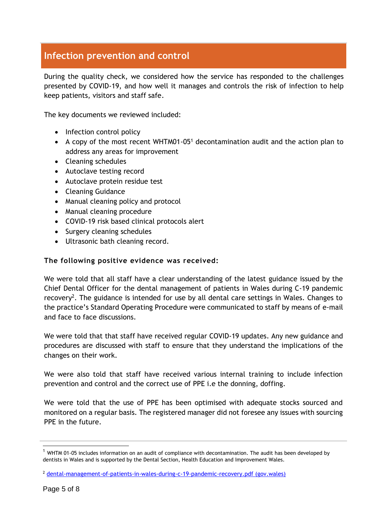# **Infection prevention and control**

During the quality check, we considered how the service has responded to the challenges presented by COVID-19, and how well it manages and controls the risk of infection to help keep patients, visitors and staff safe.

The key documents we reviewed included:

- Infection control policy
- A copy of the most recent WHTM01-05<sup>1</sup> decontamination audit and the action plan to address any areas for improvement
- Cleaning schedules
- Autoclave testing record
- Autoclave protein residue test
- Cleaning Guidance
- Manual cleaning policy and protocol
- Manual cleaning procedure
- COVID-19 risk based clinical protocols alert
- Surgery cleaning schedules
- Ultrasonic bath cleaning record.

#### **The following positive evidence was received:**

We were told that all staff have a clear understanding of the latest guidance issued by the Chief Dental Officer for the dental management of patients in Wales during C-19 pandemic recovery<sup>2</sup>. The guidance is intended for use by all dental care settings in Wales. Changes to the practice's Standard Operating Procedure were communicated to staff by means of e-mail and face to face discussions.

We were told that that staff have received regular COVID-19 updates. Any new guidance and procedures are discussed with staff to ensure that they understand the implications of the changes on their work.

We were also told that staff have received various internal training to include infection prevention and control and the correct use of PPE i.e the donning, doffing.

We were told that the use of PPE has been optimised with adequate stocks sourced and monitored on a regular basis. The registered manager did not foresee any issues with sourcing PPE in the future.

 $1$  WHTM 01-05 includes information on an audit of compliance with decontamination. The audit has been developed by dentists in Wales and is supported by the Dental Section, Health Education and Improvement Wales.

<sup>2</sup> [dental-management-of-patients-in-wales-during-c-19-pandemic-recovery.pdf \(gov.wales\)](https://gov.wales/sites/default/files/publications/2022-01/dental-management-of-patients-in-wales-during-c-19-pandemic-recovery.pdf)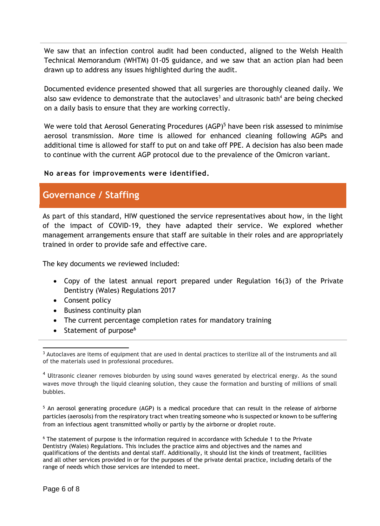We saw that an infection control audit had been conducted, aligned to the Welsh Health Technical Memorandum (WHTM) 01-05 guidance, and we saw that an action plan had been drawn up to address any issues highlighted during the audit.

Documented evidence presented showed that all surgeries are thoroughly cleaned daily. We also saw evidence to demonstrate that the autoclaves<sup>3</sup> and ultrasonic bath<sup>4</sup> are being checked on a daily basis to ensure that they are working correctly.

We were told that Aerosol Generating Procedures (AGP)<sup>5</sup> have been risk assessed to minimise aerosol transmission. More time is allowed for enhanced cleaning following AGPs and additional time is allowed for staff to put on and take off PPE. A decision has also been made to continue with the current AGP protocol due to the prevalence of the Omicron variant.

### **No areas for improvements were identified.**

### **Governance / Staffing**

As part of this standard, HIW questioned the service representatives about how, in the light of the impact of COVID-19, they have adapted their service. We explored whether management arrangements ensure that staff are suitable in their roles and are appropriately trained in order to provide safe and effective care.

The key documents we reviewed included:

- Copy of the latest annual report prepared under Regulation 16(3) of the Private Dentistry (Wales) Regulations 2017
- Consent policy
- Business continuity plan
- The current percentage completion rates for mandatory training
- $\bullet$  Statement of purpose<sup>6</sup>

<sup>5</sup> An aerosol generating procedure (AGP) is a medical procedure that can result in the release of airborne particles (aerosols) from the respiratory tract when treating someone who is suspected or known to be suffering from an infectious agent transmitted wholly or partly by the airborne or droplet route.

<sup>6</sup> The statement of purpose is the information required in accordance with Schedule 1 to the Private Dentistry (Wales) Regulations. This includes the practice aims and objectives and the names and qualifications of the dentists and dental staff. Additionally, it should list the kinds of treatment, facilities and all other services provided in or for the purposes of the private dental practice, including details of the range of needs which those services are intended to meet.

 <sup>3</sup> Autoclaves are items of equipment that are used in dental practices to sterilize all of the instruments and all of the materials used in professional procedures.

<sup>&</sup>lt;sup>4</sup> Ultrasonic cleaner removes bioburden by using sound waves generated by electrical energy. As the sound waves move through the liquid cleaning solution, they cause the formation and bursting of millions of small bubbles.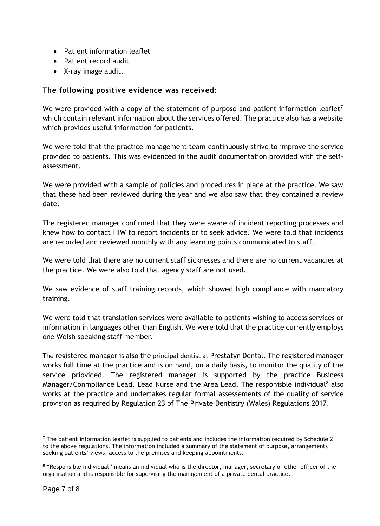- Patient information leaflet
- Patient record audit
- X-ray image audit.

#### **The following positive evidence was received:**

We were provided with a copy of the statement of purpose and patient information leaflet<sup>7</sup> which contain relevant information about the services offered. The practice also has a website which provides useful information for patients.

We were told that the practice management team continuously strive to improve the service provided to patients. This was evidenced in the audit documentation provided with the selfassessment.

We were provided with a sample of policies and procedures in place at the practice. We saw that these had been reviewed during the year and we also saw that they contained a review date.

The registered manager confirmed that they were aware of incident reporting processes and knew how to contact HIW to report incidents or to seek advice. We were told that incidents are recorded and reviewed monthly with any learning points communicated to staff.

We were told that there are no current staff sicknesses and there are no current vacancies at the practice. We were also told that agency staff are not used.

We saw evidence of staff training records, which showed high compliance with mandatory training.

We were told that translation services were available to patients wishing to access services or information in languages other than English. We were told that the practice currently employs one Welsh speaking staff member.

The registered manager is also the principal dentist at Prestatyn Dental. The registered manager works full time at the practice and is on hand, on a daily basis, to monitor the quality of the service priovided. The registered manager is supported by the practice Business Manager/Conmpliance Lead, Lead Nurse and the Area Lead. The responisble individual<sup>8</sup> also works at the practice and undertakes regular formal assessements of the quality of service provision as required by Regulation 23 of The Private Dentistry (Wales) Regulations 2017.

 $<sup>7</sup>$  The patient information leaflet is supplied to patients and includes the information required by Schedule 2</sup> to the above regulations. The information included a summary of the statement of purpose, arrangements seeking patients' views, access to the premises and keeping appointments.

<sup>&</sup>lt;sup>8</sup> "Responsible individual" means an individual who is the director, manager, secretary or other officer of the organisation and is responsible for supervising the management of a private dental practice.